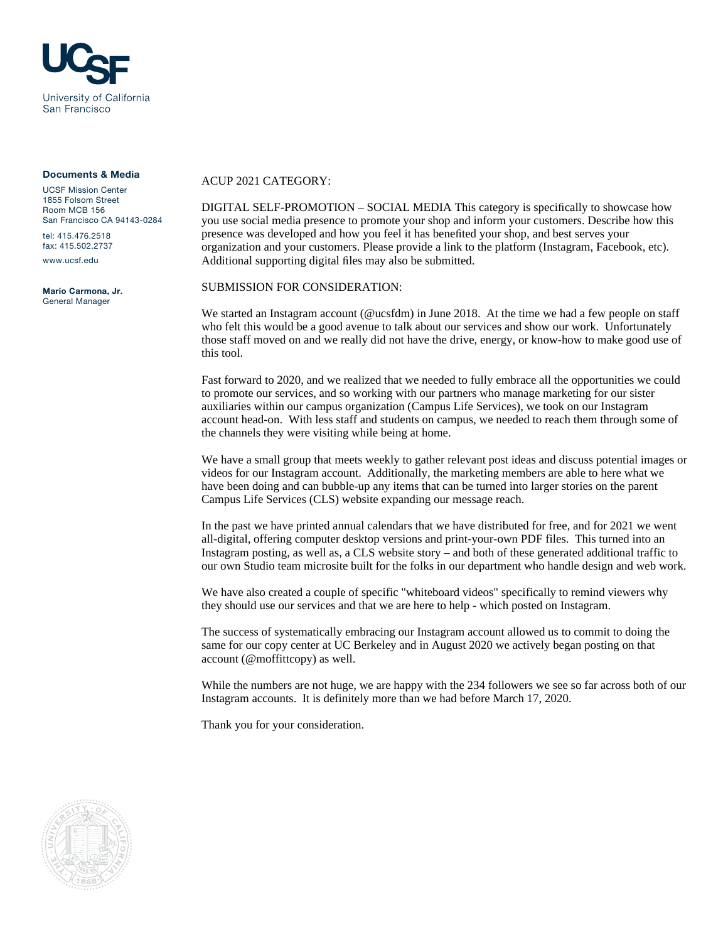

#### Documents & Media

UCSF Mission Center 1855 Folsom Street Room MCB 156 San Francisco CA 94143-0284 tel: 415.476.2518

fax: 415.502.2737

www.ucsf.edu

Mario Carmona, Jr. General Manager

### ACUP 2021 CATEGORY:

DIGITAL SELF-PROMOTION – SOCIAL MEDIA This category is specifically to showcase how you use social media presence to promote your shop and inform your customers. Describe how this presence was developed and how you feel it has benefited your shop, and best serves your organization and your customers. Please provide a link to the platform (Instagram, Facebook, etc). Additional supporting digital files may also be submitted.

### SUBMISSION FOR CONSIDERATION:

We started an Instagram account (@ucsfdm) in June 2018. At the time we had a few people on staff who felt this would be a good avenue to talk about our services and show our work. Unfortunately those staff moved on and we really did not have the drive, energy, or know-how to make good use of this tool.

Fast forward to 2020, and we realized that we needed to fully embrace all the opportunities we could to promote our services, and so working with our partners who manage marketing for our sister auxiliaries within our campus organization (Campus Life Services), we took on our Instagram account head-on. With less staff and students on campus, we needed to reach them through some of the channels they were visiting while being at home.

We have a small group that meets weekly to gather relevant post ideas and discuss potential images or videos for our Instagram account. Additionally, the marketing members are able to here what we have been doing and can bubble-up any items that can be turned into larger stories on the parent Campus Life Services (CLS) website expanding our message reach.

In the past we have printed annual calendars that we have distributed for free, and for 2021 we went all-digital, offering computer desktop versions and print-your-own PDF files. This turned into an Instagram posting, as well as, a CLS website story – and both of these generated additional traffic to our own Studio team microsite built for the folks in our department who handle design and web work.

We have also created a couple of specific "whiteboard videos" specifically to remind viewers why they should use our services and that we are here to help - which posted on Instagram.

The success of systematically embracing our Instagram account allowed us to commit to doing the same for our copy center at UC Berkeley and in August 2020 we actively began posting on that account (@moffittcopy) as well.

While the numbers are not huge, we are happy with the 234 followers we see so far across both of our Instagram accounts. It is definitely more than we had before March 17, 2020.

Thank you for your consideration.

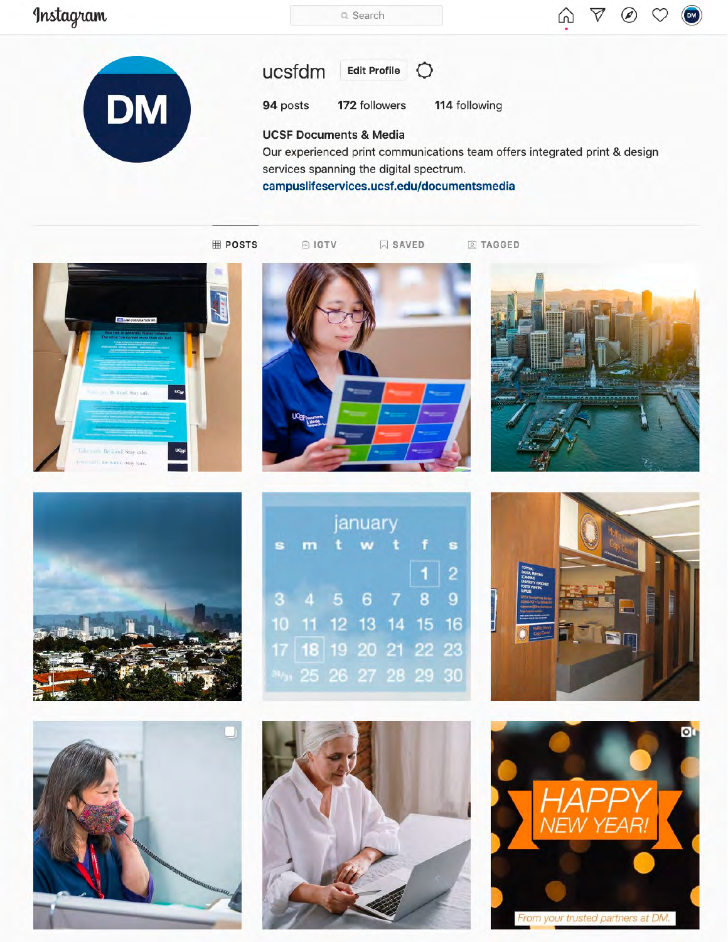# Instagram

Q Search





#### ucsfdm **Edit Profile**

94 posts 172 followers

 $\circ$ 

114 following

## **UCSF Documents & Media**

Our experienced print communications team offers integrated print & design services spanning the digital spectrum.

campuslifeservices.ucsf.edu/documentsmedia

**⊞ POSTS** 

© IGTV

 $\boxdot$  SAVED

**Q** TAGGED